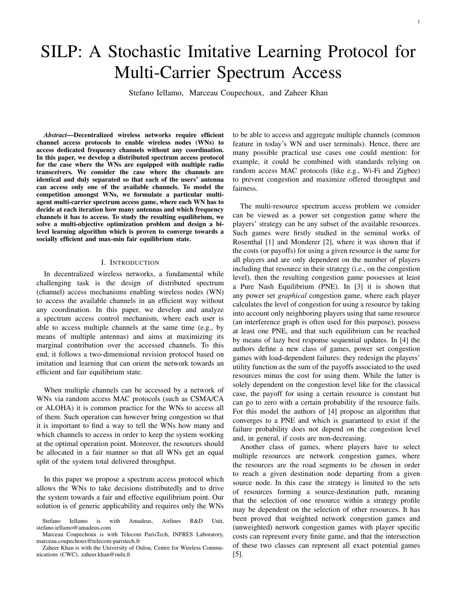# SILP: A Stochastic Imitative Learning Protocol for Multi-Carrier Spectrum Access

Stefano Iellamo, Marceau Coupechoux, and Zaheer Khan

*Abstract*—Decentralized wireless networks require efficient channel access protocols to enable wireless nodes (WNs) to access dedicated frequency channels without any coordination. In this paper, we develop a distributed spectrum access protocol for the case where the WNs are equipped with multiple radio transceivers. We consider the case where the channels are identical and duly separated so that each of the users' antenna can access only one of the available channels. To model the competition amongst WNs, we formulate a particular multiagent multi-carrier spectrum access game, where each WN has to decide at each iteration how many antennas and which frequency channels it has to access. To study the resulting equilibrium, we solve a multi-objective optimization problem and design a bilevel learning algorithm which is proven to converge towards a socially efficient and max-min fair equilibrium state.

## I. INTRODUCTION

In decentralized wireless networks, a fundamental while challenging task is the design of distributed spectrum (channel) access mechanisms enabling wireless nodes (WN) to access the available channels in an efficient way without any coordination. In this paper, we develop and analyze a spectrum access control mechanism, where each user is able to access multiple channels at the same time (e.g., by means of multiple antennas) and aims at maximizing its marginal contribution over the accessed channels. To this end, it follows a two-dimensional revision protocol based on imitation and learning that can orient the network towards an efficient and fair equilibrium state.

When multiple channels can be accessed by a network of WNs via random access MAC protocols (such as CSMA/CA or ALOHA) it is common practice for the WNs to access all of them. Such operation can however bring congestion so that it is important to find a way to tell the WNs how many and which channels to access in order to keep the system working at the optimal operation point. Moreover, the resources should be allocated in a fair manner so that all WNs get an equal split of the system total delivered throughput.

In this paper we propose a spectrum access protocol which allows the WNs to take decisions distributedly and to drive the system towards a fair and effective equilibrium point. Our solution is of generic applicability and requires only the WNs

Zaheer Khan is with the University of Oulou, Centre for Wireless Communications (CWC), zaheer.khan@oulu.fi

to be able to access and aggregate multiple channels (common feature in today's WN and user terminals). Hence, there are many possible practical use cases one could mention: for example, it could be combined with standards relying on random access MAC protocols (like e.g., Wi-Fi and Zigbee) to prevent congestion and maximize offered throughput and fairness.

The multi-resource spectrum access problem we consider can be viewed as a power set congestion game where the players' strategy can be any subset of the available resources. Such games were firstly studied in the seminal works of Rosenthal [1] and Monderer [2], where it was shown that if the costs (or payoffs) for using a given resource is the same for all players and are only dependent on the number of players including that resource in their strategy (i.e., on the congestion level), then the resulting congestion game possesses at least a Pure Nash Equilibrium (PNE). In [3] it is shown that any power set *graphical* congestion game, where each player calculates the level of congestion for using a resource by taking into account only neighboring players using that same resource (an interference graph is often used for this purpose), possess at least one PNE, and that such equilibrium can be reached by means of lazy best response sequential updates. In [4] the authors define a new class of games, power set congestion games with load-dependent failures: they redesign the players' utility function as the sum of the payoffs associated to the used resources minus the cost for using them. While the latter is solely dependent on the congestion level like for the classical case, the payoff for using a certain resource is constant but can go to zero with a certain probability if the resource fails. For this model the authors of [4] propose an algorithm that converges to a PNE and which is guaranteed to exist if the failure probability does not depend on the congestion level and, in general, if costs are non-decreasing.

Another class of games, where players have to select multiple resources are network congestion games, where the resources are the road segments to be chosen in order to reach a given destination node departing from a given source node. In this case the strategy is limited to the sets of resources forming a source-destination path, meaning that the selection of one resource within a strategy profile may be dependent on the selection of other resources. It has been proved that weighted network congestion games and (unweighted) network congestion games with player specific costs can represent every finite game, and that the intersection of these two classes can represent all exact potential games [5].

Stefano Iellamo is with Amadeus, Airlines R&D Unit, stefano.iellamo@amadeus.com

Marceau Coupechoux is with Telecom ParisTech, INFRES Laboratory, marceau.coupechoux@telecom-paristech.fr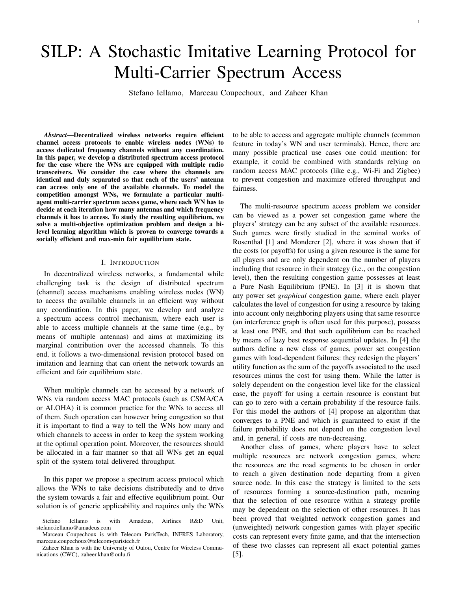Fairness and efficiency of multi-resource allocation has been studied in the context of cloud computing where resource providing entities have to allocate resources (e.g., bandwidth, compute servers, sensors) to their users in a fair manner and schedule tasks efficiently. Differently to our case, the resource providers receive resource requests from the users and they (not the users) have to decide the allocation of resources and tasks in a fair and efficient manner; with global information settings and by limiting the information exchange between them. In [6] and [7] for instance, the authors build on the concepts of -proportional fairness and dominant resource fairness in order to strike a balance between efficiency and fairness of the allocated resources.

In the wake of this literature, we introduce in this paper spectrum access policies based on learning by imitation, a behavior rule widely applied in human societies consisting of imitating successful behaviors. Firstly studied in economics (see, e.g., [8], [9] and references therein), imitation rules have been recently adopted to design distributed evolutionary algorithms for wireless and cognitive radio networks [10], [11]. The problem of distributed spectrum access has been widely addressed in the literature of cognitive radio networks (CRNs). A first set of papers assumes that the number of secondary users (SUs) is smaller than the number of channels. In this case, the problem is closely related to the classical Multi-Armed Bandit (MAB) problem [12]. Some work has investigated the issue of adapting traditional MAB approaches to the CRN context, among which Anandkumar *et al.* proposed two algorithms with logarithmic regret, where the number of SUs is known or estimated by each SU [13]. Complementary, other works assume large population of SUs and study the system dynamics under asymptotic assumptions. In [14] and [15], the authors propose respectively a distributed learning procedure for spatial spectrum access which is proven to converge to a Nash Equilibrium (NE) in the asymptotic case, and a channel switch strategy aimed at maximizing expected throughput. Spatial spectrum access games can be seen as graphical congestion games and are also studied in [16] where players are allowed to select a subset (of fixed cardinality) of the available channels (their strategy is the transmission attempt probability for each selected channel). The authors show that simple algorithms based on best response updates and log-linear learning can be used for the non-cooperative and cooperative case respectively (i.e., the users aim to maximize their own throughput or the resource allocation fairness respectively).

Different from this literature, we study a model where a set of wireless nodes have to decide how many and which channels to access in order to maximize the system offered throughput and the allocation fairness. To this end, we propose a spectrum access protocol allowing to distributedly converge to a social optimum and fair equilibrium state.

With this paper, our contribution is quad-fold:

We formulate the multi-carrier spectrum access problem as a multi-objective optimization problem, where the sum data rate as well as the system fairness have to be maximized.



Fig. 1. System model: Wireless Nodes equipped with multiple antennas are accessing frequency channels. Active antennas equally share the bandwidth on a channel. The total throughput on a channel is a concave function of the number of active antennas on it.

Faced to the challenge of solving the problem in a distributed way, we re-formulate the problem using a bilevel game theoretical framework.

- We propose a spectrum access protocol which we prove to converge to a stochastically stable equilibrium which is both max-min fair and socially-efficient.
- We validate our theoretical results by simulation and compare our solution with two state-of-the-art algorithms from the literature [3], [17].

The paper is organized as follows: In Section II we present the system model and formulate the multi-objective optimization problem in Section III. In Section IV we re-formulate the problem using a game theoretical framework. We describe and analyze our learning algorithms in Sections V and VI, respectively. In Section VII we validate our theoretical results by simulation. Section VIII concludes the paper. In Appendix I, we provide a mathematical background on models of evolution with noise. All proofs are given in Appendix II.

## II. SYSTEM MODEL AND ACCESS PROTOCOL

# *A. Network Model*

In this paper, we consider a set  $N$  of  $N$  of Wireless Nodes (WN) pairs made of a transmitter and a receiver trying to access the radio spectrum (Fig. 1). Such spectrum consists of a set  $\mathcal C$  of  $\mathcal C$  identical frequency channels, each with bandwidth B. A WN transmitter  $j \mathbf{P} \wedge j$  is equipped with  $A \times C$  reconfigurable antennas. Every antenna can be in any of the following modes: *active*, i.e., it is accessing one of the channels in C or *sensing*, i.e., it is performing measurements on a channel. We assume that at least one antenna is always active for all WNs. We assume a *full buffer* traffic model, in which WNs have always data to transmit and a complete interference graph, in which all WNs can hear each other. In practice, this means that the considered network is of small or medium size. When accessing a channel, WNs share the medium using a random access protocol, e.g., CSMA/CA and thus get a share of the available bandwidth for their transmissions, see Figure 1.

Notations of the paper are summarized in Table I.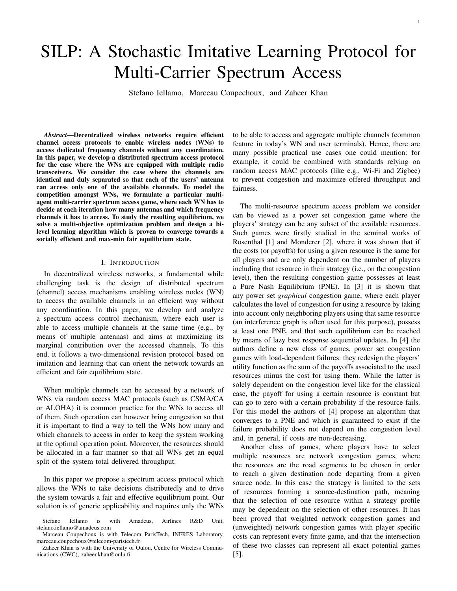TABLE I **NOTATIONS** 

| General                                            |                                          |  |  |  |  |  |
|----------------------------------------------------|------------------------------------------|--|--|--|--|--|
| Set of Wireless Nodes (WN)                         | t1; $\overline{::j}$ ; $::$ ; Nu<br>Ν    |  |  |  |  |  |
| Set of channels                                    | $t1; \pi; i; \pi; C$ u<br>$\overline{C}$ |  |  |  |  |  |
| Set of antennas                                    | t1 <i>; ::; a; ::; A</i> u<br>А          |  |  |  |  |  |
| Internal Game $G^{f\overline{f\gamma}}$            |                                          |  |  |  |  |  |
| $WN$ <i>j</i> strategy set                         | S,                                       |  |  |  |  |  |
| WN j strategy set at a Pareto PNE                  | S                                        |  |  |  |  |  |
| Strategy profile                                   | t $S_1$ ::: $S_i$ ; ::: $S_N$ u<br>s     |  |  |  |  |  |
| Strategy profile at a Pareto PNE                   | $_{\rm s}$ T                             |  |  |  |  |  |
| Set of strategies                                  | $\overline{\mathcal{S}}$                 |  |  |  |  |  |
| Number of iterations                               | $\overline{\tau}$                        |  |  |  |  |  |
| WN $j$ marginal contribution (MC) on channel $j$   | īn                                       |  |  |  |  |  |
| WN <i>j</i> MC on channel <i>j</i> at a Pareto PNE | ínf<br>jί                                |  |  |  |  |  |
| WN j utility                                       | $U^{i\overline{n}}$                      |  |  |  |  |  |
| System state at $t$                                | $\overline{z}^{i n}$ ptq                 |  |  |  |  |  |
| Union of PNE                                       |                                          |  |  |  |  |  |
| External Game GOUT                                 |                                          |  |  |  |  |  |
| Strategy profile                                   | r                                        |  |  |  |  |  |
| WN <i>j</i> strategy                               | $\Gamma$ :                               |  |  |  |  |  |
| WN $j$ throughput on channel $j$                   | out                                      |  |  |  |  |  |
| WN j utility                                       | $11$ out                                 |  |  |  |  |  |
| System state at                                    | $\overline{z^{out}}$ pq                  |  |  |  |  |  |
| Limit Set (LS)                                     |                                          |  |  |  |  |  |
| Union of max-throughput LSs                        |                                          |  |  |  |  |  |
| Enlarged union of Pareto LSs                       |                                          |  |  |  |  |  |



Fig. 2. Frame structure utilized by the WNs on a channel.

## *B. Frame Structure*

We assume that on every channel time is divided into blocks of equal duration and every block is divided in T slots (Figure 2). During a block, we impose that the mode of an antenna (active or sensing) is fixed. During a slot, the channel accessed or sensed by an antenna is fixed. Accessed or sensed channels can thus change only at slot boundaries and antenna modes can change only at block boundaries. As shown in Figure 2, transmit packets are augmented with a header containing a field for the MC-flag (1 bit), for the number  $r_i$ of active antennas ( $r \log_2 pA$ qs bits), and for the WN ID.

# *C. Throughput*

At a given time instant, let  $S_j \in \mathcal{C}$  be the subset of channels accessed by WN j and s  $\mathbf{t}S_1$ ; :::;  $S_N \mathbf{u}$  the channel allocation profile of all WNs. The profile s is an element of  $\mathbf{r} \in \mathbf{S}^{\mathbf{z} \wedge A}$ , i.e., all the subsets of  $C$  with cardinality less or equal to  $A$ .

The throughput achieved by  $WN$  *j* is the sum of the throughputs achieved by every active antenna<sup>1</sup>. On a given channel  $\neq$  **P**  $\text{C}$ , we assume that the random access protocol is fair and thus depends only on the number of contending antennas. Let  $\rho \mathbf{p} \eta_i \mathbf{q}$  the throughput achieved by every antenna on channel *i* when  $n_i$  active antennas are contending. We assume that the function  $\rho \mathbf{p} \eta_i \mathbf{q}$  is decreasing and that  $n_i \rho \mathbf{p} \eta_i \mathbf{q}$ is concave as a function of  $n_i$ . The total throughput on a channel has thus a unique maximum denoted  $n_{OPT}$ . For a WN desiring to selfishly maximize its throughput, there is an incentive to activate all its antennas. From a system point of view however, if all WNs activate all their antennas, this may result in a high congestion, so that the overall throughput is not maximized.

## III. MULTI-OBJECTIVE FORMULATION

In this section, we first formulate our problem as a multiobjective maximization problem and we characterize its solution.

### *A. Multi-Objective Maximization Problem*

For a given channel allocation profile s, the throughput of WN  $j$  is given by  $u_j$  psq WN *j* is given by  $u_j$  **psq**  $_{j}P S_j$  *ppn<sub>i</sub>* **psqq**, where *n<sub>i</sub>* **psq**  $j_{\mathbf{P}}$  at i P  $S_j$ **u**, and **1tu** is the indicator function. The system throughput is given by  $U$ psq  $j_P \sim U_j$  psq. We consider the max-min fairness criterion and we define the fairness of a profile **s** as follows: **psq**  $min_{j \in \mathbb{N}} U_j$  **psq** Our multi-objective maximization problem is now:

$$
\max_{\mathbf{SPCS}^{\mathbf{H}}}\mathbf{p}U\mathbf{p}\mathbf{sq};\quad \mathbf{psqq} \tag{1}
$$

Definition 1. *A feasible solution* s <sup>1</sup> P rCs ¤<sup>A</sup> *Pareto dominates* another solution  $S^2$  **P** r $C$ s<sup> $\mathbf{z}$ A if  $U$ ps<sup>1</sup>q \fightarrow ps<sup>1</sup>q \fightarrow ps<sup>2</sup>q</sup> and one of the inequalities is strict. A solution  $S^{\circ}$  is called *Pareto optimal if there does not exist another solution that dominates it.*

Remark: As all channels are identical, all WNs have the same number of antennas and all antennas active on a given channel get the same throughput, we approximate the fairness criterion as follows **psq** min<sub>jPN</sub>  $|S_i|$ . Because the problem is discrete, a WN with less active antennas may indeed have a higher throughput than another with more antennas at a Pareto optimal allocation profile.

For a given channel allocation profile s, let  $y_s p k q$  be the number of channels with  $k \times N$  active antennas on them. number of channels with  $K \triangleright R$  *N* active antennas on them.<br>Note that  $\begin{array}{c} N \\ k \end{array}$  (*N*<sub>s</sub> **)**/<sub>s</sub> **)**/<sub>s</sub>  $\triangleright$  *C* and recall that we have assumed that all WNs have at least one antenna active and that the function  $n \mathbf{\tilde{N}}$  nppnq is concave with a unique maximum, denoted  $n_{OPT}$ .

**Lemma 1.** For the non-trivial case  $n_{OPT}$  **;** 0*, a Pareto optimal allocation profile* s *has the following properties:*

<sup>&</sup>lt;sup>1</sup>If WNs are secondary users opportunistically accessing channels where a primary user has strict priority, throughput should be understood as the throughput achieved with the *remaining* resources left by the primary user.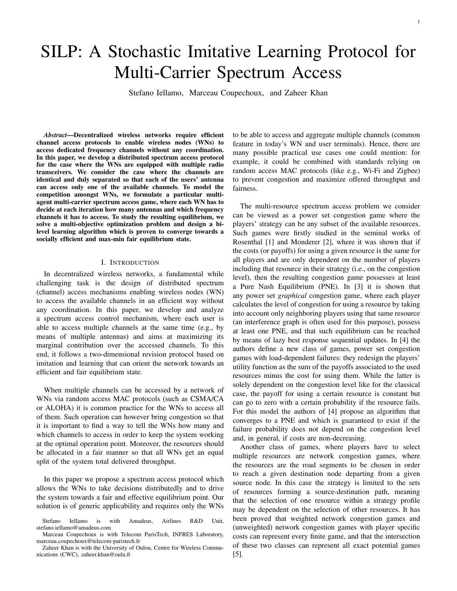*If* AN  $\angle$  Cn<sub>OPT</sub> and N  $\triangle$  Cn<sub>OPT</sub>, then  $y_s$ pn<sub>OPT</sub> C and  $y_s$ **pkq** 0 for k  $n_{OPT}$ . The number of active antennas per user is  $\frac{C_{\text{noPT}}}{N}$ **u** or  $\frac{C_{\text{noPT}}}{N}$ **u** 1 and the *sum of active antennas is*  $C_{D^p\mathcal{T}}$ *. In this case, there are enough antennas to fill all channels at*  $n_{OPT}$ *.* 

*If*  $N$  **;**  $Cn_{OPT}$ *, then all WNs will activate exactly one antenna, and there will be*  $C$  *mod*  $\mathbb{P}_{\mathbb{C}}^{\mathbb{N}}\mathbb{q}$  *channels with* **t** $\frac{N}{C}$ **u** WNs and the remainder mod**p** $\frac{N}{C}$ **q** channels with **r** $\frac{N}{C}$ **s** *WNs. In this case, there is at least one channel with more than*  $n_{OPT}$  *antennas.*<br>*Otherwise, if AN* (

 $Cn_{OPT}$ *, all WNs will activate all of their antennas, and there will be C* mod  $\frac{AN}{C}$  **q** *channels* with  $\mathbf{t}_{\alpha}^{AN}$  **u** *WNs and the remainder mod*  $\mathbf{p}_{\alpha}^{AN}$  **c** *channels* with **r**<sup> $\frac{AN}{C}$ **s** *WNs. In this case, there is at least one channel*</sup> *with fewer than*  $n_{OPT}$  *antennas.* 

*Proof.* See Appendix II-A.

As a consequence, a Pareto optimal solution can be computed by a central entity provided that N, A and  $n_{OPT}$  are known. Moreover, the central entity would be also expected to provide each WN with the number of antennas it has to activate. In the rest of this paper, we look for a distributed approach in which the WNs don't know  $N$  and we rely on game theory to reformulate the problem. The cases where  $n_{OPT}$  is known and unknown are both studied.

#### IV. BI-LEVEL GAME THEORETICAL FORMULATION

In this section, we reformulate the problem as a spectrum access game in order to reach this solution in a distributed way.

#### *A. Bi-Level Approach*

The problem of maximizing and load balancing the throughput in multi-resource system in a distributed way is a difficult one. Unlike [3], which proposes distributed algorithms allowing convergence to a PNE, we aim to design a distributed algorithm allowing convergence to an equilibrium point which is Pareto optimal, i.e., efficient and fair.

Our approach is to decouple the problem into an internal game  $G^{in}$  and an external game  $G^{out}$ . In the internal game, the number of active antennas is fixed per WN and the strategies consist in the set of accessed channels. The internal game is thus a channel allocation game. In the external game, the strategies consist of the number of active antennas. Every slot within a block is an iteration of the internal game, whereas every block is an iteration of the external game. The utilities of the external game at the end of a block depend on the utilities obtained after the  $\bar{T}$  slots of this block in the internal game.

# **B.** Internal Game G<sup>in</sup>

The internal game is played at every slot  $t$  over a block duration<sup>2</sup> (see Figure 2).

**Definition 2** (Internal game  $G^{(n)}$ ). *For any vector of number of active antennas*  $\mathbf{r} = \mathbf{r}_1$ ; :::;  $r_N$ **s**,  $r_j$  **P t**1; :::; Au, the internal

<sup>2</sup>The dependence on  $t$  of the utilities and strategies are omitted when it is clear from the context.

game G<sup>in</sup>prq is a 3-tuple **p**N;tC<sup>rj</sup> u<sub>jPN</sub>;tU<sup>jn</sup>u<sub>jPN</sub>q, where N is the set of players,  $C^{r_j}$  and  $U_j^{j}$  are the strategy set and *the utility of player j, respectively. The strategy*  $S_j$   $\in$   $C^{r_j}$  *of player* j *is the set of channels accessed by* j *and is such that*  $|S_i|$  *r<sub>j</sub>. For a strategy profile* **s t** $S_1$ ; :::;  $S_N$ **u**, the utility *of player* j *is defined as:*

$$
U_j^{in} \text{psq} \qquad \sum_{j \in S_j}^{in} \text{psq} \tag{2}
$$

*where*

 $\Box$ 

$$
\int_{ij}^{i\pi} \text{psq} \int_{j\text{P}}^{i\pi} \text{psq} \cdot \text{psq} \cdot \text{psq} \cdot \text{psq} \cdot \text{psq} \cdot \text{psq} \cdot \text{psq} \cdot \text{psq} \cdot \text{sp} \cdot \text{psq} \cdot \text{sp} \cdot \text{sp}
$$
\n
$$
\int_{i\text{P}}^{i\pi} \text{psq} \cdot \text{psq} \cdot \text{psq} \cdot \text{sp} \cdot \text{sp}
$$

Note that  $\frac{in}{ij}$  is the marginal contribution of player j on channel  $\ell$  in terms of throughput and thus its utility is the sum of the marginal contributions on the accessed resources. The sum throughput of the system  $U$ **psq** is a welfare function as defined in [18]. When this function is separable and utilities are marginal contributions, there exists at least one PNE that maximizes the welfare function [18]. As we will show in Section VI, such PNEs also share equally the throughput among active antennas.

**Lemma 2** ([18]). *The internal game G*<sup>*in*</sup>**prq** *is a distributed welfare game with potential function* iPC nipsqppnipsqq*. There exists at least one PNE, which maximizes the sum throughput of the system and which is a global maximizer of the potential function.*

# C. External game Gout

The external game  $G<sup>out</sup>$  is played over iteration blocks  $3$ (see Figure 2). For this game a player  $j$  strategy at is the number  $r_i$ **p q** of active antennas. At the end of each iteration block, the utility of a player in  $G<sup>out</sup>$  is the throughput achieved at the end of the internal game with profile  $s^{in}$ **p**  $\top$ **q**. See Figure 3 for an overview of the bilevel approach.

**Definition 3** (External game  $G^{out}$ ). *The external game*  $G^{out}$ *is a 3-tuple (* $\wedge$ *,* **t** $1$ ; :::;  $A$ **u** $\wedge$ , **t** $U_j^{out}$ **qu**<sub>jP $\wedge$ , *), where*  $\wedge$  *is the*</sub> *set of players and* t1; :::; Au *is the strategy set for a player. A strategy* r<sup>j</sup> P t1; :::; Au *is the number of antennas activated by player j. For a strategy profile*  $\mathbf{r}$   $\mathbf{r}_1$ ;  $\cdots$ ;  $\mathbf{r}_N$ **s***, the utility of player* j *is defined as:*

$$
U_j^{out} \text{prq} \qquad U_j \text{pr/s}^{in} \text{q} \tag{4}
$$

where  $U_j$  and  $S^{i\Gamma}$  are the throughput and the profile achieved *by player* j *in the internal game at the end of the current block.*

Definition 4 (Power set congestion game [2]). *A power set congestion game is a congestion game where 1) players' pure strategy is any subset of the resources, 2) the payoff associated to the use of each resource is the same for all players and it depends solely on the number of players using that resource, 3) players' utility function is the sum of the payoffs for using each resource included in the pure strategy.*

 $3$ The dependence of utilities and strategies on is omitted when it is clear from the context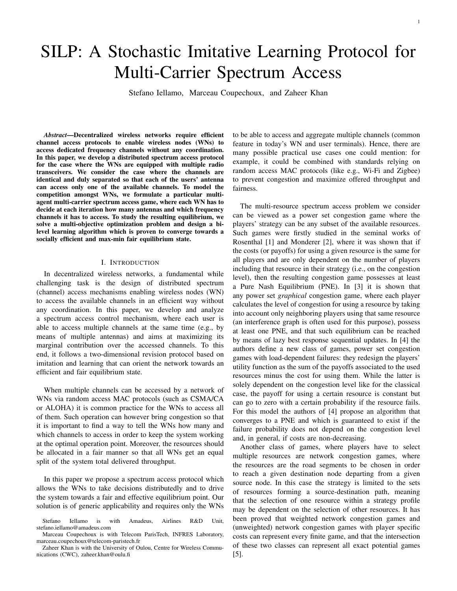

Fig. 3. Bi-level Approach with internal and external games and algorithms.

**Lemma 3** (Theorem 3.1 of [2]). *The external game G<sup>out</sup> can be viewed as a power set congestion game. As a consequence, it is a potential game possessing at least one PNE.*

# V. LEARNING ALGORITHM

In this section, we propose a learning algorithm to reach a PNE of the external game and achieve an efficient solution for the system, which is also fair for the players. We split the algorithm into a MAIN part and two sub-routines: MASAP (Multi-Antenna Spectrum Access Protocol) for the internal game and SILP (Stochastic Imitative Learning Protocol) for the external game.

#### *A. MAIN*

The MAIN algorithm is played at every player. It proceeds by iterations. At each block boundary, the routine MASAP is called to play the internal game at every slot until the next block. Then the routine SILP is called to play the external game. The output of MASAP consists in a flag and a set.

The binary flag MC-flag (for marginal contribution flag) is red if the player has obtained at least one negative marginal contribution during the internal game and white otherwise. The set  $H_i$  is a set of WNs headers observed by player *j* during the internal game.

Algorithm 1 MAIN: Multi-carrier spectrum access (executed at each WN  $j$ )

- 1: **Initialization**: Set  $T$  and define functions **p**/q and **p** q. Randomly choose  $r_i$ .
- 2: while true (at each iteration block  $\angle\neq$  1) do
- 3: **tMC-flagp/q**;  $H_i$ **u Ð** MASAP**p** $r_i$ **q** (Algorithm 2)
- 4:  $r_j$  **Ð** SILP**p** $r_j$ ; MC-flag**p** $j$ **q**;  $H_j$ **q** (Algorithm 3)
- 5: end while

# **B.** MASAP for  $G^{in}$

We now detail MASAP (Multi-Antenna Spectrum Access Protocol, Algorithm 2).

The algorithm is executed at every  $WN$   $j$ , proceeds by iterations and take decisions at the end of every slot. During a slot  $t$ , no channel switch is allowed and WN  $\dot{j}$ accesses the chosen set of channels  $S_i$ .

At the end of each iteration  $t$ , each WN  $j$  calculates its marginal contribution  $\frac{i}{j}$  on every channel  $i \mathbf{P} S_j$  (line 8). It may deduce it from the number of WNs on the channel, see Section VII for implementation details.

The strategy for the next iteration  $t \quad 1$  is chosen according to a learning rule based on exploitation and exploration (mutation). In the literature of evolutionary models with noise, a *mutation* or *tremble* is defined as a random strategy selection occurring with small probability eventually tending to zero. In our case, a mutation is a switch from a worst performing channel towards a best known channel which is not already occupied by any of j's active antennas at the current iteration. In other words, upon mutation a WN revises its strategy by dropping one of the most congested channel and accessing one of the least known congested one.

If the WN performed a mutation at the last iteration, it exploits its knowledge of the previous iteration and come back to channel  $\hat{\beta}$  if it is worth (lines 10-14).

Otherwise, it performs exploration, i.e., a mutation, with a probability **p** $\phi$  tending to zero (lines 15-18). This phase could be completely random in the choice of the target channel. We however introduce the heuristic that allows to speed up the convergence in practice (line 17). At the end of the block, when  $t \quad T \quad 1$  and  $t \quad T$ (lines 20-28), the WN collects the information about the channels on which the marginal contribution is negative. On these channels, there are too many active antennas with respect to the objective of maximizing the system throughput. This information will be communicated to the external game through the MC-flag. At  $t \quad \tau \quad 1$ , the WN observes its own channels (lines 20-21), while at  $t$  T, it collects the same information from a subset of WNs chosen at random (lines 23-28) by observing the packets headers.

# C. SILP for Gout

In this section, we provide detail of the Stochastic Imitation Learning Protocol (SILP) used in  $G<sup>out</sup>$  that achieves a fair and socially-efficient PNE. The algorithm is based on the concept of *imutation*, which is a mixed of the concepts of *mutation* and *imitation*. Like a mutation, it occurs with a decreasing probability p q tending to zero. Like in an imitation, a decision is taken by observing the strategies of a subset of other players. In our case, imutations can be seen as mutations where the next strategy is not chosen uniformly at random but rather differs from the previous one by at most one active antenna based on the observed number of active antennas of other WNs.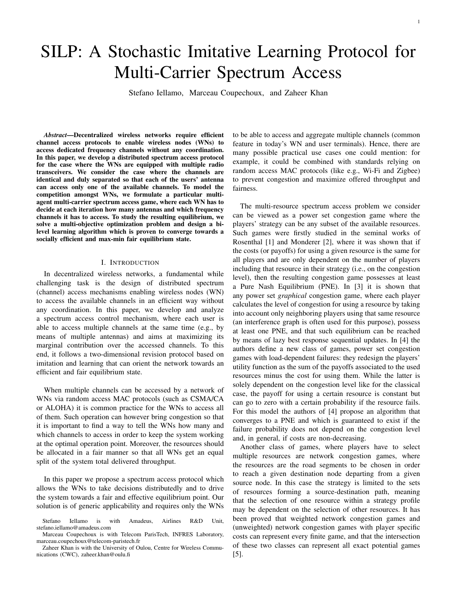Algorithm 2 MULTI ANTENNA SPECTRUM ACCESS PROTO-COL (MASAP, executed at each WN  $j$ ) 1: **Input**: Number of active antennas  $r_i$  for player *j*. 2: **Output:** MC-flag( $j$ ),  $H_j$ . 3: Initialization: 4:  $i\binom{n}{j}$ p0q **Đ** 0, for all *i* **P** 0 5: MC-flag( $j$ )  $\bf{D}$  'white' 6: Set  $m_i$  **P** N. %  $m_i$  **P t**1; 2; 3**u** in simulations. 7: Randomly choose  $S_j$   $\mathbf{r} \in \mathbb{C}$  with  $|S_j| = r_j$ . 8: *mutation*  $\mathbf{D}$  0 % is 1 if a mutation has been performed 9: for  $t \neq 1$  to  $\top$  do 10: **for**  $i \mathbf{P} S_i$  do 11: Compute  $i^n$  p tq. 12: end for 13: if mutation 1 %j *did* perform mutation at t 1 switching from channel  $\hat{I}$  to *i* then 14: if  $\lim_{i \to j} pt$  1q  $\lim_{i \to j} \lim_{i \to j}$  $\frac{1}{11}$ ptq then 15:  $\% j$  migrates its antenna from *i* to  $\Lambda$ 16:  $S_j \bigoplus S_j \bigvee t^n$ uzt*i*u 17: end if 18:  $mutation \bf{D} 0$ 19: else 20: % j migrates a worst performing antenna towards a best known channel. 21: Let  $i_1$  **P** argmax<sub>ips<sub>i</sub>  $n_i$ **p** $i$ **q** and  $i_2$  **P**</sub> argmin<sub>*i*rs, *n<sub>i</sub>*p*t*q</sub> 22: With probability  $\mathbf{p} \cdot \mathbf{q} \, \mathbf{d} \cdot \mathbf{p}$ 23:  $S_i$  Ð  $S_i$  Y t $i_2$ uzt $i_1$ u 24:  $mutation \bigoplus 1$ 25: end if 26: if  $t$   $\overline{t}$   $1 \& \overline{D}i \overline{P} S_j$ , s.t.  $\overline{ij}$  ptq 0 then 27: MC-flag( $j$ )  $\bullet$  'red' 28: end if 29: if  $t$   $\top$  then 30: Sense and observe the header of a set  $l_i$  of  $m_i$ WNs chosen at random. 31: Store the headers in the set  $H_i$  (contains MC-flag and number of active antennas). 32: **if D** $j^1$ **P**  $l_j$  s.t. MC-flag( $j^1$ ) 'red' **then** 33:  $MC-flag(j) \blacktrianglerighteq 'red'$ 34: end if 35: end if 36: end for

SILP algorithm is shown in Algorithm 3 and can be summarized as follows:

The algorithm is executed at every  $WN$  *j* and proceeds by iterations at the end of every block.

During a block the number of active antennas is fixed to  $r_j$ p q.

There is an imutation when the number of active antennas has changed in the last iteration (lines 2-3).

If the WN has not performed imutation (line 5), it takes a decision depending on the MC-flag and the numbers of antennas of other players. If the MC-flag is 'white', this means that the system throughput is likely to increase by activating an antenna. This will however be done only if fairness is improved (lines 7-9). If the MC-flag is 'red'

Algorithm 3 STOCHASTIC IMITATION LEARNING PROTO-COL (SILP, EXECUTED AT EACH  $WN$   $j$ )

1: **Input:** MC-flag(*j*),  $H_i$  (from MASAP),  $r_i$ 2: if  $r_i$ **p** 1**q**  $r_i$ **p q** then *imutation* **Đ** 1 3: else *imutation*  $\mathbf{D}$  0 4: end if 5: if imutation 0 then 6: With probability  $\boldsymbol{p} \boldsymbol{q}$  do 7: **if**  $r_j$ **p** q **¤** min<sub> $r_j$ **1P** $H_{j}$ **p qt**<br>flag(*j*)='white' &&  $r_j$ **p q** C **then**</sub>  $_{1}$ P $\mapsto$ p qt $\Gamma$ j1<code>p qu</code> && MCflag(*j*)='white' &&  $r_i$ **p** q 8: % If system throughput can be increased and j has less active antennas than observed WNs 9:  $r_j$ **p** 1**q Đ**  $r_j$ **p q** 1 10: else 11: if  $r_j$ p q  $\bm{\Psi}$  max $_{r_j \cdot \bm{\mathrm{p}} \mapsto f_j \cdot \bm{\mathrm{p}}}$  qt $r_j \cdot \bm{\mathrm{p}}$  que && MCflag(*j*)='red' &&  $r_j$ **p q i** 1 **then** 12: % If system throughput cannot be increased and *j* has more active antennas than others 13:  $r_j$ **p** 1**q Đ**  $r_j$ **p q** 1 14: end if 15: end if 16: else 17: if  $r_j$ p q <sub>i</sub> max $_{r_j}$ <sub>1</sub>p $H_j$ <sub>p 1q</sub>t $r_j$  $1$ qu && MCflag(*j*)='red' &&  $r_j$ **p q** ;  $r_j$ **p** 1**q** then 18: % By increasing the number of active antennas, system throughput has decreased and  $j$  has more antennas than others had 19:  $r_j$ **p** 1**q Đ**  $r_j$ **p q** 1 20: end if 21: end if

on the contrary, the number of active antennas should be decreased (lines 11-13).

If the WN has performed imutation at the last iteration by increasing its number of active antennas and the MCflag is 'red' (line 17), this means that WN  $\dot{j}$  is potentially responsible for decreasing the system throughput. In this case, it should decrease its number of active channels (line 19).

# VI. CONVERGENCE ANALYSIS

# *A.* G in*: MASAP Equilibria and Convergence*

We model the dynamics generated by MASAP as a model of evolution with noise (or mistakes model). A background on the latter is provided in Appendix I. Let us define the state of the system as follows:

**Definition 5** (System State). We define the state  $Z^{i}P$  **p** to of the *system at iteration* t *as:*

$$
z^{in} \mathbf{p} t \mathbf{q} = \mathbf{t} S_j \mathbf{p} t \mathbf{q}; S_j \mathbf{p} t = 1 \mathbf{q} \mathbf{u}_{j} \mathbf{p} \mathbf{w} ;
$$

*or equivalently:*

$$
Z^{in} \mathbf{p} t \mathbf{q} = \mathbf{p} s \mathbf{p} t \mathbf{q} / s \mathbf{p} t = 1 \mathbf{q} \mathbf{q} t
$$

Definition 6 (Single-Player Single-Antenna Improvement). *A strategy profile* s **p** $\mathbb{S}_1^1$ ; ::;  $\mathbb{S}_j^1$ ; ::;  $\mathbb{S}_N^1$ **q** is a single-player *single-antenna improvement over the strategy profile* s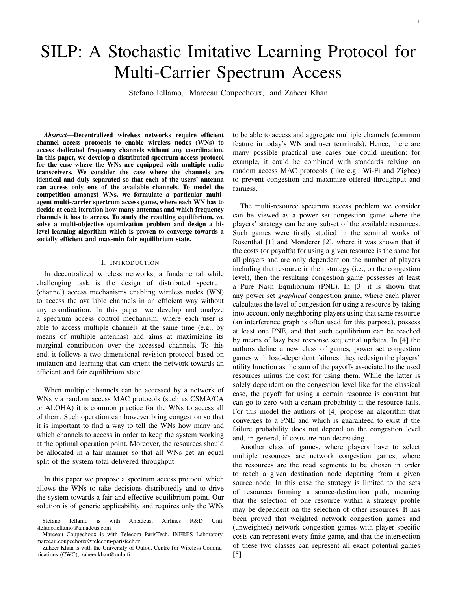$\mathbf{p}S_1$ ; ::;  $S_i$ ; ::;  $S_N \mathbf{q}$  *if it coincides with* **s** *in every coordinate* except one, say coordinate  $S_j$ , the strategy set  $S_j^1$  in turn *coincides with*  $S_i$  *in all elements (i.e., channels) except one, and the utility of player* j *is higher under* s 1 *than under* s*.*

Proposition 1. *In*  $G^{in}$  and under MASAP all limit sets (LS) *are made of a single state, which is an absorbing state. All absorbing states are limit sets.*

*Proof.* See Appendix II-B. The definition of LS is given in Definition 13 in Appendix I-A  $\Box$ 

Proposition 2. In  $G^{in}$  and under MASAP there always exists *an improvement path, made of single-player single-antenna improvements, which is finite and ends in a PNE.*

*Proof.* See Appendix II-C.

Let denote  $Z$  the union of all the states corresponding to the PNEs. As PNEs are absorbing states, every state in  $Z$ is a limit set. Let  $R\mathbf{p}$  q be the radius of a set as defined in Definition 18 in Appendix I. Let  $CR \mathbf{p} \mathbf{q}$  be the modified coradius of as defined in Definition 21 in Appendix I-B. The following Lemma follows directly from Proposition 2.

**Lemma 4.** For all  $Z^{in}$  **R** Z that are LS, it holds that Rpz inq 1*. Moreover,* Z *can be reached from any LS* z in *by stepwise mutations.*

Lemma 5. *It holds that*  $CR$  **p** $Z$  **q** 1

*Proof.* It follows from Lemma 4 and the definition of modified cost. From any state, we reach a LS at zero cost and then, there is a path of LSs towards  $Z$ , each with a radius of 1.  $\Box$ 

**Lemma 6.** *It holds that*  $RpZ$  **q** ; 1.

*Proof.* We show that a single mutation is not sufficient to leave the basin of attraction of  $Z$ . As in a LS at a PNE no user has incentive to deviate unilaterally with one of its antennas, any single-player single-antenna mutation leads to a decrease of payoff for the concerned player, say  $j$ . Thus, at the next iteration  $t \in I$  of MASAP, WN  $j$  will switch its antenna, which performed a mutation at  $t-1$ , back to the previous channel accessed at  $t - 1$ . Hence, one mutation is not enough to quit the basin of attraction of  $Z$ .  $\Box$ 

We can now state the main result of this section:

Theorem 1. For  $G^{in}$  and under MASAP:

- *1) The system dynamics converge a.s. to the PNE union* Z *as the temperature* ptq *vanishes. The maximum wait until such union of limit sets is reached from any state outside its domain of attraction is* Op 1 q *as* Ñ 0*.*
- *2) At all PNEs the sum data rate of the system is maximized. Moreover, the throughput allocation to every active antenna is max-min fair, i.e., MASAP load balances the system throughput amongst active antennas.*
- *3) The computational complexity at the WNs is*  $OpTC$  *Nq at every call of the algorithm.*

*Proof.* See Appendix II-D.

# *B.* Gout*: SILP Convergence*

 $\Box$ 

 $\Box$ 

Similarly to what has been done for the analysis of  $G^{in}$ , we firstly provide a few definitions and propositions which will pave the way towards the main theorem. Let us define the state of the system as follows:

**Definition 7** (System State). We define the state  $Z^{out}$ **p q** of *the system at iteration block as:*

$$
z^{out} \mathbf{p} \mathbf{q} \qquad r_j \mathbf{p} \mathbf{q} / \mathbf{t} r_j \mathbf{q} \mathbf{q} / r_j \mathbf{p} \qquad 1 \mathbf{q} \mathbf{u}_j \mathbf{q} / \mathbf{p} \mathbf{q} \qquad \mathbf{Q}
$$

In other words, the system state includes for every  $WN$  j its number of active antennas as well as the number of active antennas of all observed WNs in iterations and 1. We say that we are in a *complete information* setting if the set  $I_i$ contains all WNs except *j*, i.e.,  $\ell_i$ **p** q  $\ell$   $\forall$ **zt***j***u** for all *j* and all . Otherwise we are in an *incomplete information* setting. In this case, we still assume that if a WN has a red MC-flag, this information is known by every  $WN<sup>4</sup>$ .

In SILP, the unperturbed dynamics is such that the transition propability from any state to any other state is zero, i.e., all states are absorbing states. Although this is a very specific case, the conditions of Lemma 9 showing the existence of a limit distribution as  $\dot{\mathbf{N}}$  0 are verified. As a consequence all states are limit sets.

Definition 8 (Union of max-throughput Limit Sets ). *We define as the union of limit sets including the LSs which are characterized by maximum system offered throughput.*

Definition 9 (Enlarged Union of max-throughput Limit Sets ). *We define as the union of limit sets including the LSs in plus those which can be reached from by a single player imutation.*

Definition 10 (Enlarged Union of Pareto Limit Sets ). *We define as the union of limit sets including:*

*the LSs from which are max-min fair. the LSs that can be reached from the LSs above by a single-player imutation*

Proposition 3. *Regardless of the level of information (complete or incomplete), there always exists a path, i.e., a finite sequence of stepwise imutations, that leads to from any LS. Also, there always exists a path that leads to from any LS.*

|  |  | Proof. See Appendix II-E. |  |  |  |
|--|--|---------------------------|--|--|--|
|--|--|---------------------------|--|--|--|

Proposition 4. *For any LS* !*, its radius is* Rp!q 1*.*

*Proof.* Consider an imutation from *!* to a state *!*<sup>1</sup>. As all states are absorbing for the unperturbed dynamics, there is no possible transition from  $\ell^1$  to  $\ell$ .  $\Box$ 

Lemma 7. *The modified coradii of and are equal to one. That is,*  $CR \mathbf{p} \mathbf{q}$   $CR \mathbf{p} \mathbf{q}$  1.

*Proof.* It follows from Proposition 3, Proposition 4 and the definition of modified coradius (see Definition 21 in Ap- $\Box$ pendix I-B).

<sup>4</sup>In practice, as we will see in simulations, this happens with a high probability since the information is propagated by every antenna of all WNs.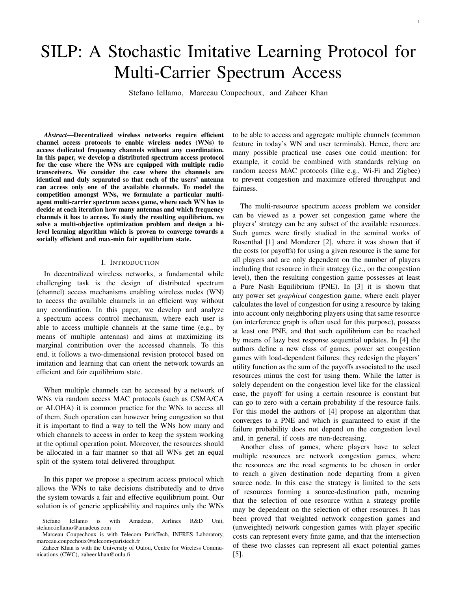

Fig. 4. Saturation throughput for CSMA/CA with RTS/CTS as a function of the number of the contending stations operating on the same channel [20]. All channels deliver the largest amount of throughput when there are 4 contending WNs on them; the throughput starts to decrease afterwards.

Lemma 8. *In the incomplete information case* Rp q 1 *and* Rp q ¡ 1*. In the complete information case* Rp q ¡ 1*.*

*Proof.* See Appendix II-E.

Theorem 2. *SILP with complete and incomplete information converges a.s. to and respectively as the noise term* p q *vanishes. The maximum wait until such unions of limit sets are reached from any state outside their domain of attraction is* Op 1 q *as* Ñ 0*. The computational complexity of SILP at every WN is* OpNq *at every call.*

*Proof.* As  $R$ **p q i**  $CR$ **p q** and  $R$ **p q i**  $CR$ **p q** in the complete and incomplete information case respectively (Lemma 8 and Lemma 7) the result follows from [19]. The algorithm always executes steps 1-4, and then executes one of the following: steps 6-9, steps 10-14, steps 16-20. Steps 1-4 involves a comparison and an assignment, its complexity is thus Op1q. The most demanding operation in each of the other possible steps is finding a minimum or a maximum in a set of cardinality at most N. As a consequence, the overall complexity is in  $Op\mathcal{N}q$  at every call. П

#### VII. NUMERICAL ANALYSIS

# *A. Payoff estimation*

It has been so far implicitly assumed that marginal contributions are observable and deterministic at each iterations and only depend on the number of contending WNs. However, in real implementations the WNs derive their current payoff relying on environmental factors which may bring uncertainty and errors.

We here discuss two possible methods for payoff (i.e., marginal contribution) estimation which can be used by the WNs in combination with random access MAC protocols.

Lookup table The WNs are in possession of a lookup table matching the number of contending stations with the corresponding saturation throughput. Thus, with this method it is enough for the WNs to count the number of contending WNs on each accessed channel (the header ID field is public - see Fig. 2) to derive the corresponding marginal contribution. Uncertainty and errors can be brought in this case by the estimation of the number of contending stations. In a small or medium size network and a reasonnable throughput accuracy, only few tens of bits are required to store a look-up table. As a consequence, it can be easily pre-launched by the device manufacturer or downloaded before operation.

Collision count If the WNs do not know neither  $N$  nor  $n_{OPT}$ , they can estimate the payoff (i.e., the marginal contribution)  $\frac{in}{j}$  of each of their active antenna at iteration  $t$  with the following approximation:

$$
\lim_{j \downarrow i} \quad -\lim_{j \downarrow i} \quad \frac{j \downarrow \quad C_{j \downarrow}}{n_t}
$$

where  $n_t$  is the number of time slots in one iteration t, ji and  $c_{ij}$  are the total number of j's correct transmissions and collisions on channel *i* respectively. Note that the value obtained by means of the formula above is a lower bound of the real value (i.e.,  $\frac{in}{j}$   $\pi \rightarrow \frac{in}{j}$ ), as collisions with more than 2 antennas involved should not be subtracted (intuitively, collision would have occurred anyway if one of the 3 or more antennas involved had stepped back from transmitting). However, the presented formula suits a fully distributed scenario (can be obtained through own transmission statistics and sensing operations while not transmitting); Moreover, the approximation is accurate if the probability of multiple collisions is sufficiently low. This holds true for loads not exceeding too much the random access protocol saturation point.

Note that the system designer can cope with uncertainty and errors (e.g., error-prone channels) by extending the duration of the blocks at the cost of a slower convergence. Increasing indeed implies that more packets are sent per block, so that a better estimation of the correct payoff can be achieved in both look-up table and collision count implementation approaches.

# *B. Simulation settings*

 $\Box$ 

We consider a wireless network made of 8 channels and 10 identical WNs, each of which equipped with 8 antennas. The WNs apply CSMA/CA as random access protocol on each accessed channel and the parameters are taken according to [20] (we equip the WNs with a lookup table based on Fig. 4). Each WN is characterized by a generic strictly decreasing noise function p:q which tends to 0 in MASAP and to a very small constant value in SILP.

We compare our algorithm to the lazy best response (lazy BR) approach proposed in [3] and to the payoff-based version of the binary log-linear learning (BLLL) algorithm in [17], [21]. We compare also the performance to the Pareto NE, obtained using Lemma 1 and by performing an exhaustive search over the returned solutions.

With lazy BR, the WNs revise their strategy sequentially: at each iteration block a pre-determined WN updates its strategy via a best response update that minimizes the number of new channels occupied minus the number of old channels released (old and new are with reference to the previous iteration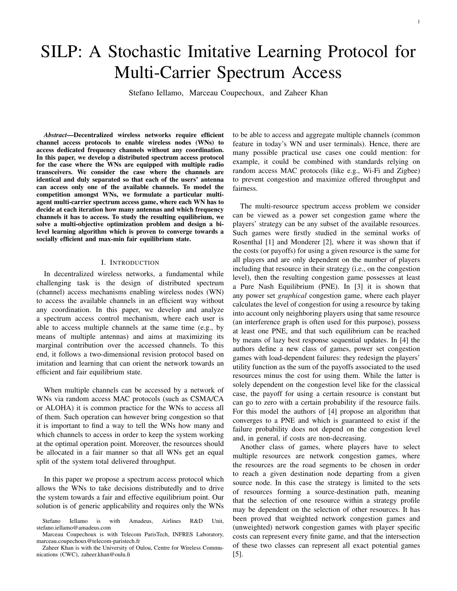block). With this technique, we obtain an asynchronous full information game where 1) a scheduler is necessary for the WNs to revise their strategies and apply the lazy best response sequentially and 2) no equilibrium selection is performed in terms of fairness.

With BLLL, the WN revise their strategy simultaneously at the end of each iteration. Every WN calculates its own utility, which in our case is the sum of the marginal contributions obtained from the accessed channels. A WN strategy consists of a pair  $\mathbf{p}a_j/\mathbf{v}_j\mathbf{q}$ , where  $\mathbf{v}_j$  is a list of channels to access, of length  $a_j$ . The strategy is chosen according to the payoffbased binary log-linear rule with probability  $1$  ptq and uniformly randomly with probability  $\mathbf{p}$  to eventually tending to zero or to a very small value. For each  $j$ , the payoff based binary log-linear rule consists of observing the utility obtained at the current and previous iteration and going back to the previous strategy with a probability proportional to the utility difference, see [17] for the details of the algorithm.

For comparison, we assume that SILP iteration blocks, lazy BR iterations and BLLL iterations have equal duration. Unless specified, the SILP curves assume a complete information setting.

# *C. Simulation results*

Fig. 5 displays a realization of the MASAP algorithm in terms of aggregate system throughput as a function of the iteration  $t$ . As one can see, the PNE is reached fairly quickly (by the 60th iteration).

In Fig. 6 and Fig. 7 the SILP algorithm is compared to lazy BR and BLLL in terms of total system throughput. In the SILP case, we see that as soon as the noise vanishes a stochastically stable limit set contained in the Enlarged Union of Pareto LSs is attained. With best response update, convergence is much quicker and a PNE is attained after just 6 iteration blocks. Differently, BLLL does not converge completely by the set horizon. This is due to the fact that the WNs strategy set is very large and the probability that a unilateral single player strategy revision is improving (in other words, the probability that a unilateral strategy deviation causes a system throughput increase) is very low. Notice that the SILP curve depicted in Fig. 7 displays a slightly lower average throughput at the equilibrium wrt lazy BR. This can be explained by recalling that the Enlarged Union of Pareto limit sets (Definition 10) contains not only the Pareto-efficient LS, but also some LSs which are in the immediate proximity (they can be reached if, starting from a Pareto LS, a WN activates an additional antenna).

Since a Pareto allocation is achieved when the total system throughput is maximum and equally distributed among WN, we choose the Jain's fairness index [22] to study the fairness of our algorithm. The Jain's fairness index  $\bigcup$  p:q ranges between 0 and 1 and is maximum if the available resources are perfectly aligned. The index is calculated at each iteration as  $\cup\mathsf{p}$  ;  $U_{1}^{out},...,U_{N}^{out}$ q ex is calcular than  $U_j^{out}$  q<sup>2</sup>  $\frac{\mathbf{p}_{\bullet j} \mathbf{p}_N U_j}{N}$   $\frac{\mathbf{q}}{\mathbf{p}_N \mathbf{p} U_j^{\text{out}} \mathbf{q}^2}$ . Fig. 8 and Fig. 9 show that the equilibrium selection is very effective. In fact, SILP converges to a very high fairness index within 10 iteration



Fig. 5. MASAP: convergence trend in terms of the total system troughput (one realization). Input antenna vector  $\mathbf{r} = \mathbf{r}^5$  2 6 6 3 3 2 4 3 6. (one realization). Input antenna vector  $\bf{r}$ 



Fig. 6. Aggregate system throughput vs. number of iterations for SILP, BLLL, lazy BR and at Pareto NE for one realization.

blocks, while lazy BR and BLLL fairness has a decreasing trend from the initial state.

Fig. 10 shows the fairness degradation in the incomplete information case, i.e., when the WNs have the ability to imitate only a limited number of other WNs. In the incomplete information setting, we assume that every WN is able to observe 1, 3 or 5 other WNs (chosen uniformly at random at each iteration block in our simulation). We notice here that there is indeed a degradation in terms of Jain's fairness index, but this degradation is quite limited, especially if compared with the fairness achieved by lazy best response (Fig. 9). Moreover, the convergence time is not affected. Note that we don't report the system throughput trend under incomplete information regime. Indeed, even by imitating only one WN it is possible to achieve a very good information on all the channels, so that the curves result practically superimposed. This occurs because a WN flag is representative for all its accessed channels.

Fig. 11 depicts the number of active antennas per user as a function of the iteration block . We see that at the Pareto equilibrium the total number of active antennas oscillated between 32 and 33 when **ptq** becomes very small. This is in line with our definition of Enlarged Union of Pareto limit sets (Definition 10).

## VIII. CONCLUSION

We have considered the problem faced by a set of wireless nodes having to decide how many and which channels to access in order to maximize the system offered throughput and the allocation fairness. The sets of wireless nodes and frequency channels are assumed homogeneous and we have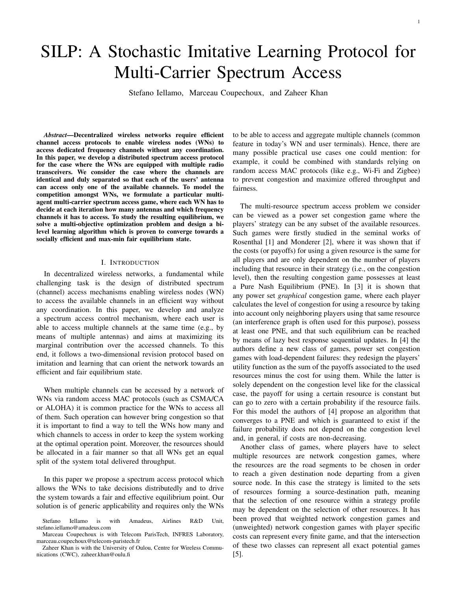

Fig. 7. Aggregate system throughput vs. number of iterations for SILP, BLLL, lazy BR and at Pareto NE. Each point is an average over 100 realizations.



Fig. 8. Jain's fairness index vs. number of iterations for SILP, BLLL, lazy BR and at Pareto NE for one realization.



Fig. 9. Jain's fairness index vs. number of iterations for SILP, BLLL, lazy BR and at Pareto NE. Each point is an average over 100 realizations.



Fig. 10. Jain's fairness index vs. number of iterations for SILP in the complete and incomplete information cases. Each point is an average over 100 realizations.



Fig. 11. Number of active antennas for every WN vs. number of iterations with SILP.

formulated the multi-carrier spectrum access problem as a multi-objective optimization problem, and have derived the centralized solution. We have then reformulated the problem as a distributed spectrum access game and have designed a bi-level learning algorithm which we have proven to converge towards an equilibrium state where both fairness and system throughput are maximized. A possible future work is the implementation of the proposed approach in a test-bed to confront theory and practice.

# APPENDIX I BACKGROUND

# *A. Model of Evolution with noise*

Definition 11 (Model of evolution with noise [19]). *A model of evolution with noise or mistakes model is a triple* pZ; P; Pp qq *where:*

- *1)* Z *is the state space of a stochastic process* X *and is supposed to be finite;*
- 2)  $P$  **p** $p_{zz}$ **q**<sub>pz;7</sub>**q**<sub>p</sub> $p_{zz}$  *is a Markov transition matrix defined on* Z*;*
- *3)* P**p q p** $p_{zz}$ **p qq**<sub>pz;z<sup>1</sup>qp<sub>Z</sub><sup>2</sup> *is a family of Markov transition*</sub> *matrices on* Z *indexed by* P r0; q *s.t.:*
	- *a)*  $P\mathbf{p} \mathbf{q}$  *is ergodic for*  $\mathbf{i} \ 0$ ;
	- *b)* Pp q *is continuous in and* Pp0q P*;*
	- *c*) there is a cost function  $c: Z^2 \widetilde{\mathbf{N}} \times \mathbf{Y}$  t8u *s.t.* for any pair of states **p**z;  $z^1$ **q**, lim  $\tilde{\mathbf{n}}$ <sup>0</sup>  $\frac{p_{zz} \cdot \mathbf{p} \cdot \mathbf{q}}{z_{zz} \cdot \mathbf{q}}$  exists and is *strictly positive for*  $c_{zz}$  **8** *and*  $p_{zz}$ **p q** 0 *for small if*  $c_{zz}$ **1 8***.*

Definition 12 (Unperturbed and perturbed Markov chain). *In a model of evolution with noise* pZ; P; Pp qq*,* pZ; Pq *is called the unperturbed Markov chain and, for any ,* pZ; Pp qq *is a perturbed Markov chain. The family of perturbed Markov chains indexed by is called a regular perturbation.*

**Remark.** The fact that  $P\mathbf{p}$  **q** is ergodic ensures that from any state  $Z \, \mathbf{P} \, Z$ , we can reach any state  $Z^1 \, \mathbf{P} \, Z$  in a finite number of steps with positive probability. The unperturbed Markov chain is however not necessarily ergodic. If not, the Markov chain  $pZ$ ; Pq has one or more limit sets.

Note that the particular design of the perturbation does not compromise the existence of the limit distribution, since the specification of the perturbation provided in [19] is sufficiently flexible so as to allow any stationary specification of noise in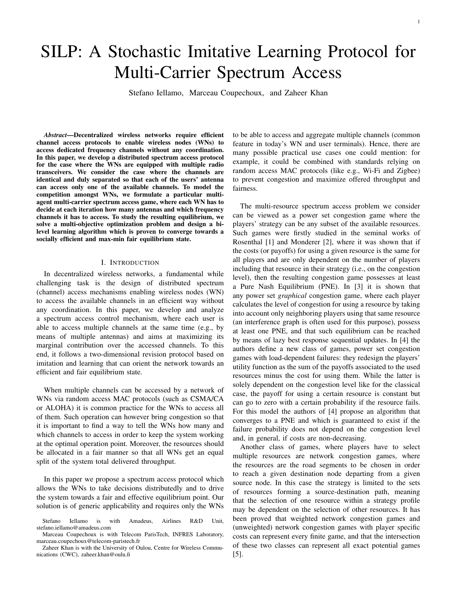which one may be interested to be represented, provided that the conditions in Definition 11 still hold. A separate study on state-dependent mutation rates is also presented in [23].

Definition 13 (Limit set). *A limit set (or recurrent class)* L *of a Markov chain* X pZ; Pq *is a set of states of* X *such that*  $Qz \mathbf{P} L$ ,  $P\mathbf{r}X_t \mathbf{P} L | X_t$  zs 1 *and*  $Qz$ ;  $z^1 \mathbf{P} L$ , there *exists* **i** 0 *s.t.*  $P\mathbf{r}X_t$  $^{1}$ | $X_t$  *z*s<sub>i</sub> 0.

The unperturbed Markov chain can be interpreted as the evolution of the system when players follow a predefined rule of evolution like *Best Response*. Noise can be interpreted as a probability that players do not follow the rule of the dynamics. For example, if the rule is Best Response, players choose the best response strategy at the next iteration step with probability 1 and choose any other strategy at random with probability . When a player does not follow the predefined rule, we say that there is a *mutation* by analogy with what happens in species evolution.

Definition 14 (State transition cost). *The cost or resistance*  $c_{zz}$  *of the transition*  $Z \mathbf{N}$   $Z^1$  *is the rate at which the transition probability* pzz<sup>1</sup>p q *tends to zero as vanishes:* \$



*for some*  $\mathbf{i}$  0 *and constants*  $a_{z}$ ,

Let  $\boldsymbol{p} \boldsymbol{q}$  be the stationary probability distribution of the perturbed Markov chain  $pZ$ ; Pp qq.

Lemma 9 (Existence of limit distribution [24]). *There exists a limit distribution* lim  $\mathbf{\tilde{n}}_0$  **p q**:

Thus, is a stationary probability of the unperturbed Markov chain  $pZ$ ; Pq:

Lemma 10 ([19]). *The set of stochastically stable states is included in the limit sets of the unperturbed Markov chain* pZ; Pq*.*

Definition 15 (Long-run stochastically stable set). *A state* z P Z *is said to be long-run stochastically stable if and only if* <sup>z</sup> ¡ 0*.*

Let be a union of one or more limit sets of  $pZ$ ;  $Pq$ . We now want to study the conditions for to be stochastically stable. We also want to know the speed at which is reached. For this purpose, [19] defines  $W\mathbf{p}x$ ; q to be the expected wait until set is reached knowing that we start in state  $x$  and that the system follows the perturbed Markov chain  $pZ$ ; Pp qq. The goal is to characterize max<sub>xPZ</sub>  $Wpx$ ; ; **q**.

## *B. Radius and Coradius Theorem*

We start with some definitions of concepts illustrated in Fig. 12 before giving the main theorem. Define a path  $\mathbf{p}Z_1$ ;  $Z_2$ ; :::;  $Z \neq \mathbf{q}$  as a sequence of states.

Definition 16 (Basin of attraction). *Let be a union of one or more limit sets of*  $pZ$ ;  $Pq$  *and let*  $pZ_1$ ;  $Z_2$ ; :::;  $Z$   $q$  *be a sequence of states. The basin of attraction* Dp q *of is the set of initial*



Fig. 12. Illustration of the main concepts: basin of attraction  $D\mathbf{p}$  q, radius **Rp q**, modified coradius  $C^*$ **p q**,  $L_1$ ,..., $L_{r-1}$  are limit sets, *x* is a state that maximizes the modified cost to ,  $z$  is a state in  $D\mathbf{p}$  q.

*states from which the unperturbed Markov chain converges to with probability 1, i.e.:*

$$
D\mathbf{p} \quad \mathbf{q} \quad \mathbf{t} \times \mathbf{P} \times \mathbf{P} \quad \text{where} \quad \mathbf{r} \times \mathbf{r} \quad \text{and} \quad \mathbf{r} \times \mathbf{r} \quad \text{and} \quad \mathbf{r} \times \mathbf{r} \quad \text{and} \quad \mathbf{r} \times \mathbf{r} \quad \text{and} \quad \mathbf{r} \times \mathbf{r} \quad \text{and} \quad \mathbf{r} \times \mathbf{r} \quad \text{and} \quad \mathbf{r} \times \mathbf{r} \quad \text{and} \quad \mathbf{r} \times \mathbf{r} \quad \text{and} \quad \mathbf{r} \times \mathbf{r} \quad \text{and} \quad \mathbf{r} \times \mathbf{r} \quad \text{and} \quad \mathbf{r} \times \mathbf{r} \quad \text{and} \quad \mathbf{r} \times \mathbf{r} \quad \text{and} \quad \mathbf{r} \times \mathbf{r} \quad \text{and} \quad \mathbf{r} \times \mathbf{r} \quad \text{and} \quad \mathbf{r} \times \mathbf{r} \quad \text{and} \quad \mathbf{r} \times \mathbf{r} \quad \text{and} \quad \mathbf{r} \times \mathbf{r} \quad \text{and} \quad \mathbf{r} \times \mathbf{r} \quad \text{and} \quad \mathbf{r} \times \mathbf{r} \quad \text{and} \quad \mathbf{r} \times \mathbf{r} \quad \text{and} \quad \mathbf{r} \times \mathbf{r} \quad \text{and} \quad \mathbf{r} \times \mathbf{r} \quad \text{and} \quad \mathbf{r} \times \mathbf{r} \quad \text{and} \quad \mathbf{r} \times \mathbf{r} \quad \text{and} \quad \mathbf{r} \times \mathbf{r} \quad \text{and} \quad \mathbf{r} \times \mathbf{r} \quad \text{and} \quad \mathbf{r} \times \mathbf{r} \quad \text{and} \quad \mathbf{r} \times \mathbf{r} \quad \text{and} \quad \mathbf{r} \times \mathbf{r} \quad \text{and} \quad \mathbf{r} \times \mathbf{r} \quad \text{and} \quad \mathbf{r} \times \mathbf{r} \quad \text{and}
$$

Definition 17 (Path cost). *For two sets* X *and* Y *, a path in* Z *is a sequence of states*  $p_{Z_1}$ ;  $Z_2$ ; :::;  $Z$  **q** *with*  $Z_1$ ;  $Z_2$ ; ::: **P** X *and* z P Y *. The cost of the path is the sum*

$$
C\neg Z_1; Z_2; \dots; Z \qquad \qquad \circ \qquad C_{Z_i; Z_{i-1}}.
$$

Let  $\text{SpX}$ ;  $\text{Y}$ **q** be the set of all paths from X to Y and

$$
\text{CpX; Yq} \qquad \min_{\text{pz}_1, ..., \text{z qPSpX; Yq}} \text{c pz}_1, ..., \text{z q}
$$

be the set-to-set cost between  $X$  and Y. The radius of the basin of attraction of is defined as the minimum number of mutations needed to leave  $D\mathbf{p} \neq \mathbf{q}$  given that we start in .

Definition 18 (Radius). *The radius* Rp q *of is the minimum cost of any path from out of* Dp q*, i.e.:*

$$
R\mathbf{p} \mathbf{q} \quad C\mathbf{p} \neq Z \quad D\mathbf{p} \mathbf{q} \mathbf{q}.
$$

Definition 19 (Coradius). *The coradius* CRp q *of is defined by:*

$$
CRp \quad q \quad \underset{xR}{max} \quad \underset{p_{Z_1}}{\min} \quad \underset{y \in \text{Sp}(x)}{\min} \quad q_{Z_1} \text{ and } z \quad q
$$

In other words, the coradius is the minimum number of mutations needed to reach from the most unfavorable state.

**Definition 20** (Modified path cost). Let  $\mathbf{p}_1$ ; :::; z **q** be a path *from*  $\times$  *to*  $\therefore$  Let  $L_1$ ;  $\cdots$ ;  $L_r$  *be a set of consecutive limit sets with*  $L_r$   $\epsilon$  *and*  $L_i$ , *for all i* r, through which *the path passes. The modified cost of the pathis obtained by substracting from the initial cost function the intermediate radii of the limit sets* Li*:*

$$
c \ \mathbf{p}_{Z_1} \dots; z \ \mathbf{q} \quad \text{cpz}_1 \dots; z \ \mathbf{q} \quad \overset{f}{\underset{i=2}{\overset{\bullet}{\sum}}} R \mathbf{p}_{L_i} \mathbf{q}.
$$
 (5)

Definition 21 (modified coradius). *The modified coradius of the basin of attraction of is defined as:*

$$
CR \mathbf{p} \mathbf{q} \max_{\mathbf{X} \mathbf{R}} \min_{\mathbf{p} \mathbf{z}_1, \dots, \mathbf{z} \mathbf{q} \mathbf{P} \mathbf{S} \mathbf{p} \mathbf{x}_i \mathbf{q}} C \mathbf{p} \mathbf{z}_1, \dots, \mathbf{z} \mathbf{q}
$$
 (6)

where  $\min_{\mathbf{p}_{Z_1}} \min_{z \in \mathbf{p}_{S} \in \mathbf{p}_{X_i}} \mathbf{q} \subset \mathbf{p}_{Z_1}$ ;  $\dots$ ; z **q** is the modified cost between a state  *and* 

The theorem proposed by Ellison in [19] is a sufficient condition to identify a long-run stochastically stable set of the system. It also gives an lower bound on convergence rate.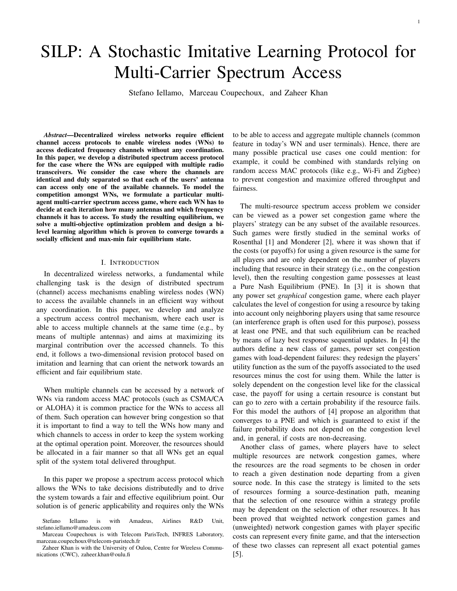Theorem 3 (Convergence to long-run stochastically stable set with modified cost [19]). *Let* pZ; P; Pp qq *be a model of evolution with noise, and suppose that for some set which is a union of limit sets* Rp q ¡ CR p q*. Then:*

- *1) The long-run stochastically stable set of the model is contained in .*
- *2) For any*  $y \mathbf{R}$ ,  $W \mathbf{p}$ *y*;  $\neq \mathbf{q}$  $CR$  **P q** as **N** 0.

In other words, if it is more difficult to leave and its basin of attraction than to come back to it, the long-run stochastically stable set is contained in .

## APPENDIX II PROOFS

#### *A. Proof of Lemma 1*

We first consider the case  $Cn_{OPT}$  **¤** AN **¤** ACn<sub>OPT</sub>. For a given channel allocation profile s, let  $y_s p k q$  be the number of channels with  $k \times N$  active antennas on them. number of channels with  $k \neq N$  active antennas on them.<br>Note that  $\begin{array}{cc} N \\ k \end{array}$  o  $y_s$  pkq  $\begin{array}{cc} C. \end{array}$  A solution s maximizes  $U$  psq if and only if  $y_s p k_0 q$  *C* where  $k_0$  *n*<sub>OPT</sub> and  $y p k q$  0 for  $k$   $k_0$ . Indeed, in this cases the throughput is maximized in every channel. Among all the s satisfying this condition, we can pick the ones maximizing fairness as the set of feasible solutions is finite. Let  $s^{\circ}$  be one of them. Since  $U \mathbf{ps}^{\circ} \mathbf{q}$  is a global maximum characterized by the highest fairness ps<sup>o</sup>q, it is not possible to increase one of the two objectives without decreasing the other, which is the definition of Pareto optimality for multi-objective maximization problems.

We now consider the case  $N \times Cn_{OPT}$ . In this case, there exists at least a channel with more  $n_{OPT}$  WNs on it, regardless of how the antennas are distributed. Since a WN's marginal contribution is negative if the accessed channel has more than  $n_{OPT}$  WNs, a WN with more than one active antenna causes a decrease in the total system throughput wrt the case with only one antenna, regardless of how the antennas are distributed. Hence, a solution  $s$  maximizes  $U$ psq only if all WNs have exactly one active antenna. Among all the s satisfying this condition, we can pick the solution  $s^{\circ}$ maximizing fairness as the set of feasible solutions is finite. Let  $s^{\circ}$  be one of them. Since  $U$ **ps**<sup> $\circ$ </sup>**q** is a global maximum characterized by the highest fairness  $p_s^\circ q$ , it is not possible to increase one of the two objectives without decreasing the other, which is the definition of Pareto optimality for multi-objective maximization problems.

Let us now consider the case  $AN$   $Cn_{OPT}$ . That means, there exist solutions where all WNs activate all of their A antennas active and all antennas bring a positive marginal contribution. Hence, a solution **s** maximizes  $U$ **psq** only if all WNs have all of their A antenna antennas active. Among all the s satisfying this condition, we can pick the solution  $s^{\circ}$ maximizing fairness as the set of feasible solutions is finite. Let  $s^{\circ}$  be one of them. Since  $U$ ps<sup> $\circ$ </sup>q is a global maximum characterized by the highest fairness  $p_s^\circ q$ , it is not possible to increase one of the two objectives without decreasing the other, which is the definition of Pareto optimality for multiobjective maximization problems.

# *B. Proof of Proposition 1*

First note that every absorbing state is obviously a LS. We proceed by contradiction by assuming that a LS has two or more distinct states over which the system cycles in the unperturbed dynamics. MASAP allows users at  $t$  to only switch back a single antenna to a channel accessed at  $t - 1$ . As a consequence, WNs antennas may only switch between two channels in the unperturbed dynamics (there is no exploration). Any antenna that stays on a channel during two iterations won't move anymore because the algorithm enters the "else" condition in steps 16-18 and in the unperturbed dynamics

0. As the LS cycles, there is thus a non empty set of WNs antennas that switch at every iteration from one channel to another for ever in a deterministic way. This means that the system evolves between only two states. As WNs antennas can compare their utility between these two states, they are able to choose one of them and stay on the corresponding channel, this contradicts the fact that these antennas change endlessly.

# *C. Proof of Proposition 2*

We want to show that a single-player single-antenna improvement is always possible via unilateral better response if we are not at a PNE, and that such unilateral improvements always prompt a system throughput increase. Suppose we are not at a PNE. Consider two channels *i* and  $\hat{\mu}$  with  $n_i$  and  $n_{\hat{\mu}}$ WNs, respectively. Take a WN  $j$  on channel  $i$  and moves its antenna on channel  $\Lambda$ . Then its utility changes as follows:

$$
in = \frac{pqnn + 1qpn + 1q}{pqnn + 1q}
$$

If  $n_i$   $n_i$ 1, then  $i^{1}$  0. If  $n_i$   $n_i$ 0,  $\mathbf{p} \cdot \mathbf{n}$  rp $n_i$  $1$ qpp $n_i$  1q  $n_i$ pp $n_i$ s r $n_i$ pp $n_i$ q p $n_i$  1qpp $n_i$  1qs, which is negative because *np*pnq is concave. As a consequence, as we are not at a PNE, necessarily there exist two channels  $i$  and  $i$ such that  $n_i$   $n_i \blacktriangleright 2$ . Choose any WN on channel *i* not having another antenna on  $\Lambda$  and move its antenna to channel  $\Lambda$ . Such a WN exists because  $n_i$   $n_i$   $\neq$  2. The utility of this WN changes by  $_{i,i}$  **rp** $n_i$  1q*p*p $n_i$  1q  $n_i$ *p*p $n_i$ qs **r** $n_i$ *p*p $n_i$ q  $p_i$  1qpp $n_i$  1qs, which is positive because nppnq is concave and  $n_i$   $n_i$  1. We thus found a single-player single-antenna improvement. After this improvement, the system throughput as changed by:  $p_n$  1q*p* $n_i$  1q  $p_n$  $1$ q $p$ p $n_i$  $1<sub>q</sub>$ nippniqn<sup>i</sup> <sup>1</sup>ppn<sup>i</sup> <sup>1</sup>q ¡ 0 because of the concavity of nppnq and  $n_i$  1 **;**  $n_i$ . This means that along the improvement path, the system throughput is strictly increasing. As the strategy sets are finite, the improvement path is finite. At the end of the path, as no further improvement is possible, we are at a PNE.

# *D. Proof of Theorem 1*

1) It follows from Lemma 5 and Lemma 6 that  $R\mathbf{p}$  q;  $CR \, \mathbf{p}$  q and the application of Theorem 3 in Appendix I.

2) Let us first of all show that the internal game can be seen a distributed welfare game. To this end, let us express the total throughput of the system in the form of separable welfare functions [18]:

$$
\mathcal{W} \text{psq} \overset{\bullet}{\longrightarrow} \mathcal{W}_{i} \text{ptsu}_{i} \text{q}
$$